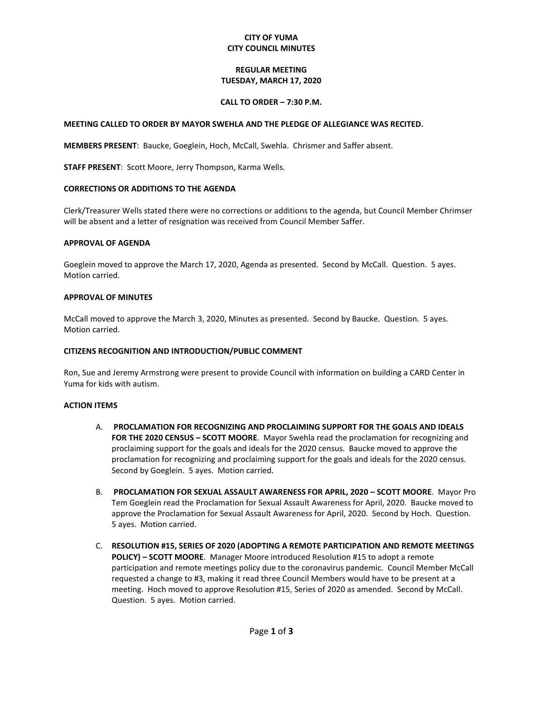## **CITY OF YUMA CITY COUNCIL MINUTES**

## **REGULAR MEETING TUESDAY, MARCH 17, 2020**

## **CALL TO ORDER – 7:30 P.M.**

### **MEETING CALLED TO ORDER BY MAYOR SWEHLA AND THE PLEDGE OF ALLEGIANCE WAS RECITED.**

**MEMBERS PRESENT**: Baucke, Goeglein, Hoch, McCall, Swehla. Chrismer and Saffer absent.

**STAFF PRESENT**: Scott Moore, Jerry Thompson, Karma Wells.

### **CORRECTIONS OR ADDITIONS TO THE AGENDA**

Clerk/Treasurer Wells stated there were no corrections or additions to the agenda, but Council Member Chrimser will be absent and a letter of resignation was received from Council Member Saffer.

#### **APPROVAL OF AGENDA**

Goeglein moved to approve the March 17, 2020, Agenda as presented. Second by McCall. Question. 5 ayes. Motion carried.

#### **APPROVAL OF MINUTES**

McCall moved to approve the March 3, 2020, Minutes as presented. Second by Baucke. Question. 5 ayes. Motion carried.

## **CITIZENS RECOGNITION AND INTRODUCTION/PUBLIC COMMENT**

Ron, Sue and Jeremy Armstrong were present to provide Council with information on building a CARD Center in Yuma for kids with autism.

#### **ACTION ITEMS**

- A. **PROCLAMATION FOR RECOGNIZING AND PROCLAIMING SUPPORT FOR THE GOALS AND IDEALS FOR THE 2020 CENSUS – SCOTT MOORE**. Mayor Swehla read the proclamation for recognizing and proclaiming support for the goals and ideals for the 2020 census. Baucke moved to approve the proclamation for recognizing and proclaiming support for the goals and ideals for the 2020 census. Second by Goeglein. 5 ayes. Motion carried.
- B. **PROCLAMATION FOR SEXUAL ASSAULT AWARENESS FOR APRIL, 2020 – SCOTT MOORE**. Mayor Pro Tem Goeglein read the Proclamation for Sexual Assault Awareness for April, 2020. Baucke moved to approve the Proclamation for Sexual Assault Awareness for April, 2020. Second by Hoch. Question. 5 ayes. Motion carried.
- C. **RESOLUTION #15, SERIES OF 2020 (ADOPTING A REMOTE PARTICIPATION AND REMOTE MEETINGS POLICY) – SCOTT MOORE**. Manager Moore introduced Resolution #15 to adopt a remote participation and remote meetings policy due to the coronavirus pandemic. Council Member McCall requested a change to #3, making it read three Council Members would have to be present at a meeting. Hoch moved to approve Resolution #15, Series of 2020 as amended. Second by McCall. Question. 5 ayes. Motion carried.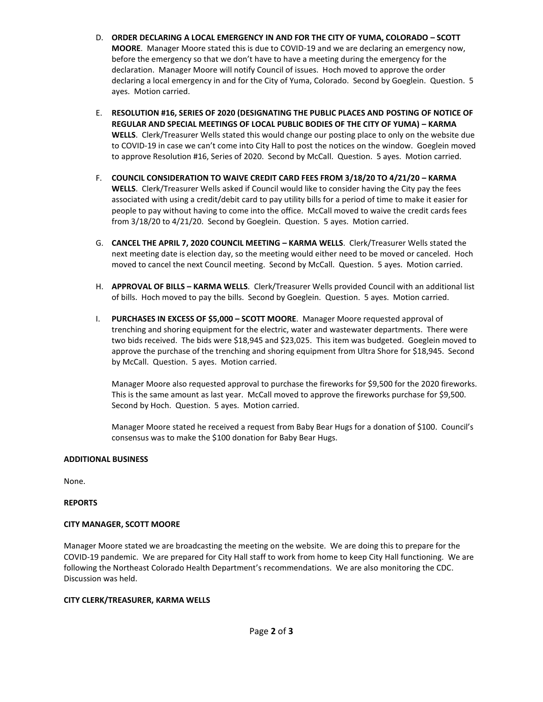- D. **ORDER DECLARING A LOCAL EMERGENCY IN AND FOR THE CITY OF YUMA, COLORADO – SCOTT MOORE**. Manager Moore stated this is due to COVID-19 and we are declaring an emergency now, before the emergency so that we don't have to have a meeting during the emergency for the declaration. Manager Moore will notify Council of issues. Hoch moved to approve the order declaring a local emergency in and for the City of Yuma, Colorado. Second by Goeglein. Question. 5 ayes. Motion carried.
- E. **RESOLUTION #16, SERIES OF 2020 (DESIGNATING THE PUBLIC PLACES AND POSTING OF NOTICE OF REGULAR AND SPECIAL MEETINGS OF LOCAL PUBLIC BODIES OF THE CITY OF YUMA) – KARMA WELLS**. Clerk/Treasurer Wells stated this would change our posting place to only on the website due to COVID-19 in case we can't come into City Hall to post the notices on the window. Goeglein moved to approve Resolution #16, Series of 2020. Second by McCall. Question. 5 ayes. Motion carried.
- F. **COUNCIL CONSIDERATION TO WAIVE CREDIT CARD FEES FROM 3/18/20 TO 4/21/20 – KARMA WELLS**. Clerk/Treasurer Wells asked if Council would like to consider having the City pay the fees associated with using a credit/debit card to pay utility bills for a period of time to make it easier for people to pay without having to come into the office. McCall moved to waive the credit cards fees from 3/18/20 to 4/21/20. Second by Goeglein. Question. 5 ayes. Motion carried.
- G. **CANCEL THE APRIL 7, 2020 COUNCIL MEETING – KARMA WELLS**. Clerk/Treasurer Wells stated the next meeting date is election day, so the meeting would either need to be moved or canceled. Hoch moved to cancel the next Council meeting. Second by McCall. Question. 5 ayes. Motion carried.
- H. **APPROVAL OF BILLS – KARMA WELLS**. Clerk/Treasurer Wells provided Council with an additional list of bills. Hoch moved to pay the bills. Second by Goeglein. Question. 5 ayes. Motion carried.
- I. **PURCHASES IN EXCESS OF \$5,000 – SCOTT MOORE**. Manager Moore requested approval of trenching and shoring equipment for the electric, water and wastewater departments. There were two bids received. The bids were \$18,945 and \$23,025. This item was budgeted. Goeglein moved to approve the purchase of the trenching and shoring equipment from Ultra Shore for \$18,945. Second by McCall. Question. 5 ayes. Motion carried.

Manager Moore also requested approval to purchase the fireworks for \$9,500 for the 2020 fireworks. This is the same amount as last year. McCall moved to approve the fireworks purchase for \$9,500. Second by Hoch. Question. 5 ayes. Motion carried.

Manager Moore stated he received a request from Baby Bear Hugs for a donation of \$100. Council's consensus was to make the \$100 donation for Baby Bear Hugs.

## **ADDITIONAL BUSINESS**

None.

## **REPORTS**

# **CITY MANAGER, SCOTT MOORE**

Manager Moore stated we are broadcasting the meeting on the website. We are doing this to prepare for the COVID-19 pandemic. We are prepared for City Hall staff to work from home to keep City Hall functioning. We are following the Northeast Colorado Health Department's recommendations. We are also monitoring the CDC. Discussion was held.

# **CITY CLERK/TREASURER, KARMA WELLS**